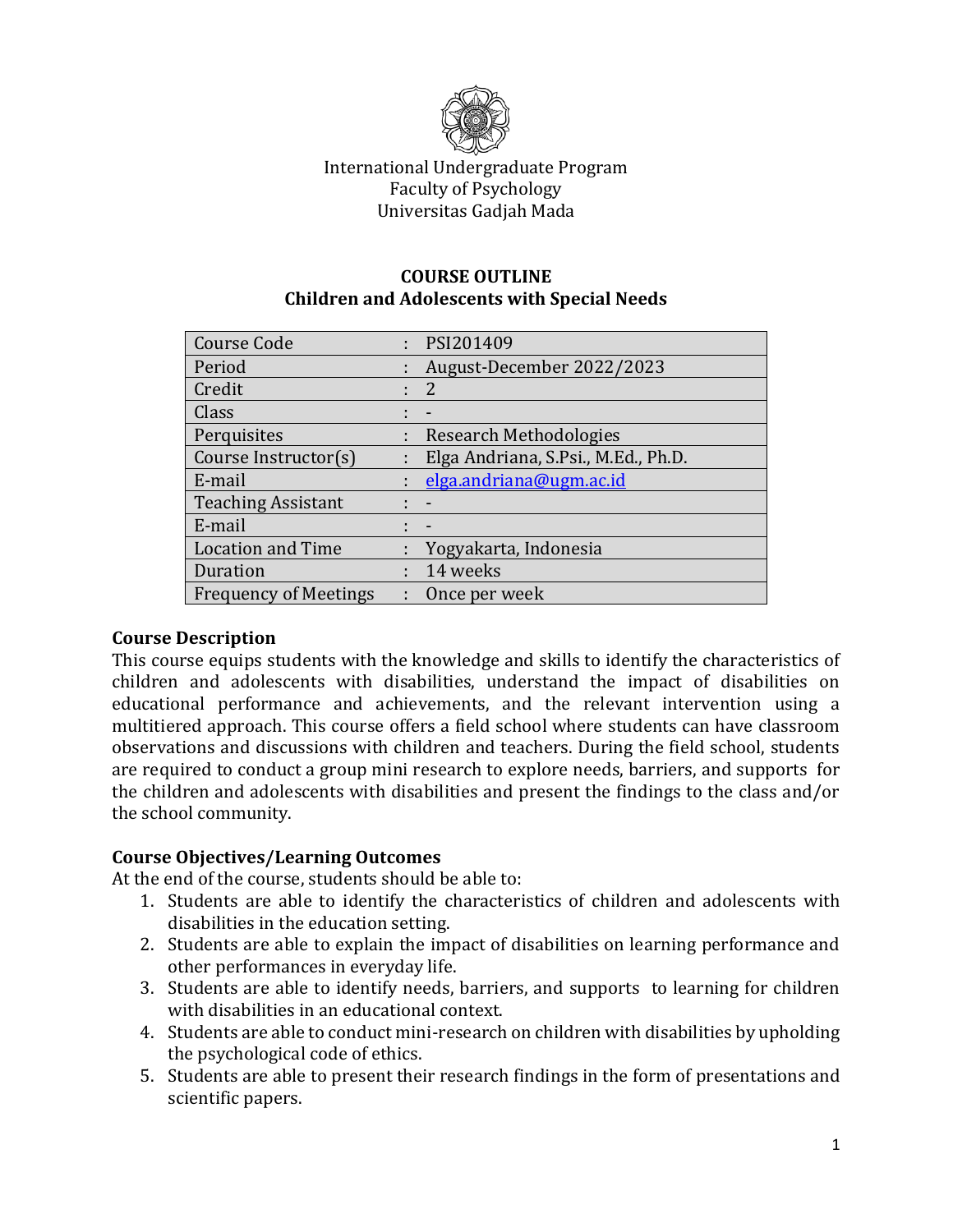

# International Undergraduate Program Faculty of Psychology Universitas Gadjah Mada

#### **COURSE OUTLINE Children and Adolescents with Special Needs**

| <b>Course Code</b>           | PSI201409                           |
|------------------------------|-------------------------------------|
| Period                       | August-December 2022/2023           |
| Credit                       | 2                                   |
| Class                        |                                     |
| Perquisites                  | Research Methodologies              |
| Course Instructor(s)         | Elga Andriana, S.Psi., M.Ed., Ph.D. |
| E-mail                       | elga.andriana@ugm.ac.id             |
| <b>Teaching Assistant</b>    | $\sim$ $-$                          |
| E-mail                       | $\blacksquare$                      |
| <b>Location and Time</b>     | : Yogyakarta, Indonesia             |
| Duration                     | 14 weeks                            |
| <b>Frequency of Meetings</b> | Once per week                       |

# **Course Description**

This course equips students with the knowledge and skills to identify the characteristics of children and adolescents with disabilities, understand the impact of disabilities on educational performance and achievements, and the relevant intervention using a multitiered approach. This course offers a field school where students can have classroom observations and discussions with children and teachers. During the field school, students are required to conduct a group mini research to explore needs, barriers, and supports for the children and adolescents with disabilities and present the findings to the class and/or the school community.

### **Course Objectives/Learning Outcomes**

At the end of the course, students should be able to:

- 1. Students are able to identify the characteristics of children and adolescents with disabilities in the education setting.
- 2. Students are able to explain the impact of disabilities on learning performance and other performances in everyday life.
- 3. Students are able to identify needs, barriers, and supports to learning for children with disabilities in an educational context.
- 4. Students are able to conduct mini-research on children with disabilities by upholding the psychological code of ethics.
- 5. Students are able to present their research findings in the form of presentations and scientific papers.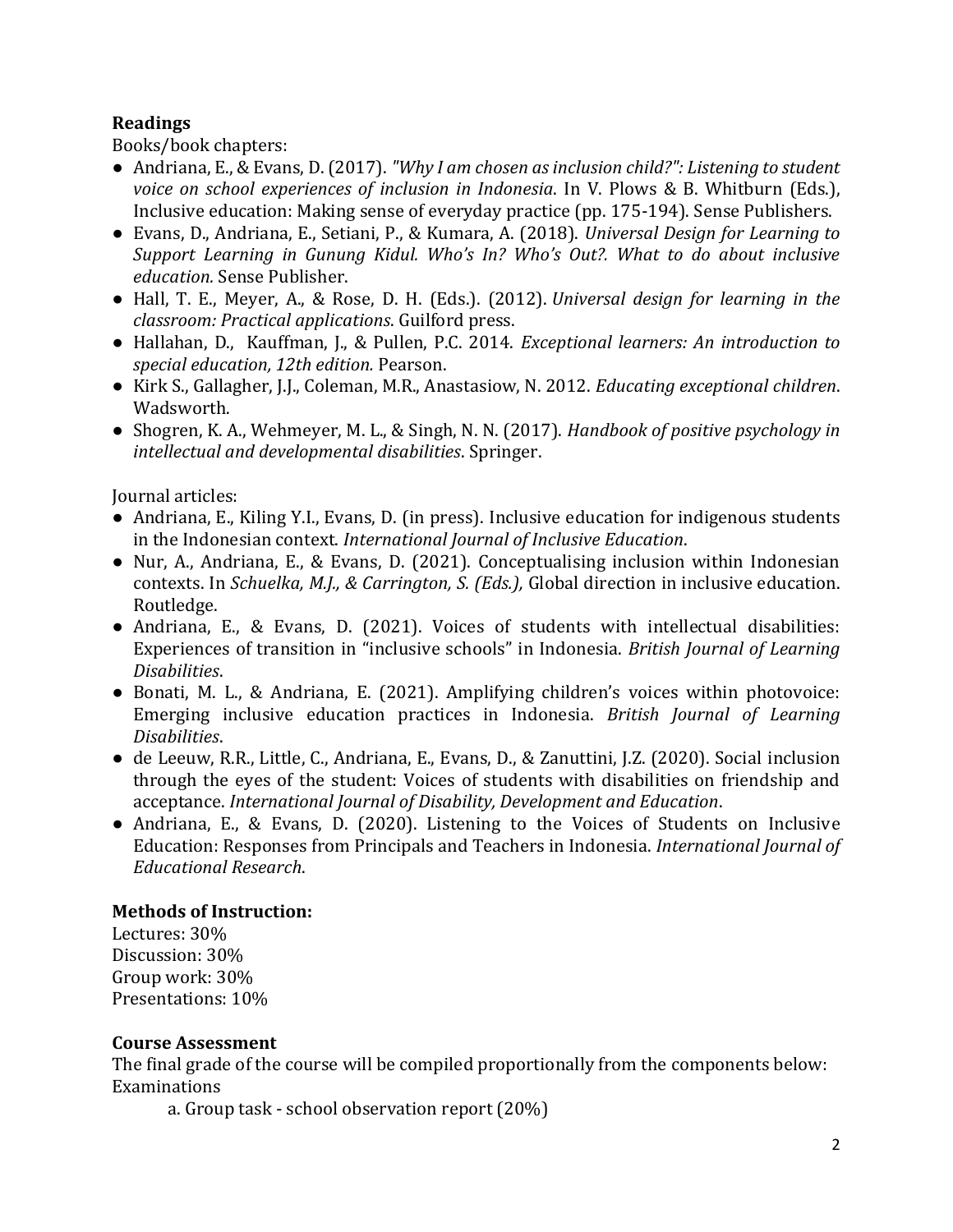## **Readings**

Books/book chapters:

- Andriana, E., & Evans, D. (2017). *"Why I am chosen as inclusion child?": Listening to student voice on school experiences of inclusion in Indonesia*. In V. Plows & B. Whitburn (Eds.), Inclusive education: Making sense of everyday practice (pp. 175-194). Sense Publishers.
- Evans, D., Andriana, E., Setiani, P., & Kumara, A. (2018). *Universal Design for Learning to Support Learning in Gunung Kidul. Who's In? Who's Out?. What to do about inclusive education.* Sense Publisher.
- Hall, T. E., Meyer, A., & Rose, D. H. (Eds.). (2012). *Universal design for learning in the classroom: Practical applications*. Guilford press.
- Hallahan, D., Kauffman, J., & Pullen, P.C. 2014. *Exceptional learners: An introduction to special education, 12th edition.* Pearson.
- Kirk S., Gallagher, J.J., Coleman, M.R., Anastasiow, N. 2012. *Educating exceptional children*. Wadsworth.
- Shogren, K. A., Wehmeyer, M. L., & Singh, N. N. (2017). *Handbook of positive psychology in intellectual and developmental disabilities*. Springer.

Journal articles:

- Andriana, E., Kiling Y.I., Evans, D. (in press). Inclusive education for indigenous students in the Indonesian context. *International Journal of Inclusive Education*.
- Nur, A., Andriana, E., & Evans, D. (2021). Conceptualising inclusion within Indonesian contexts. In *Schuelka, M.J., & Carrington, S. (Eds.),* Global direction in inclusive education. Routledge.
- Andriana, E., & Evans, D. (2021). Voices of students with intellectual disabilities: Experiences of transition in "inclusive schools" in Indonesia. *British Journal of Learning Disabilities*.
- Bonati, M. L., & Andriana, E. (2021). Amplifying children's voices within photovoice: Emerging inclusive education practices in Indonesia. *British Journal of Learning Disabilities*.
- de Leeuw, R.R., Little, C., Andriana, E., Evans, D., & Zanuttini, J.Z. (2020). Social inclusion through the eyes of the student: Voices of students with disabilities on friendship and acceptance. *International Journal of Disability, Development and Education*.
- Andriana, E., & Evans, D. (2020). Listening to the Voices of Students on Inclusive Education: Responses from Principals and Teachers in Indonesia. *International Journal of Educational Research*.

# **Methods of Instruction:**

Lectures: 30% Discussion: 30% Group work: 30% Presentations: 10%

### **Course Assessment**

The final grade of the course will be compiled proportionally from the components below: Examinations

a. Group task - school observation report (20%)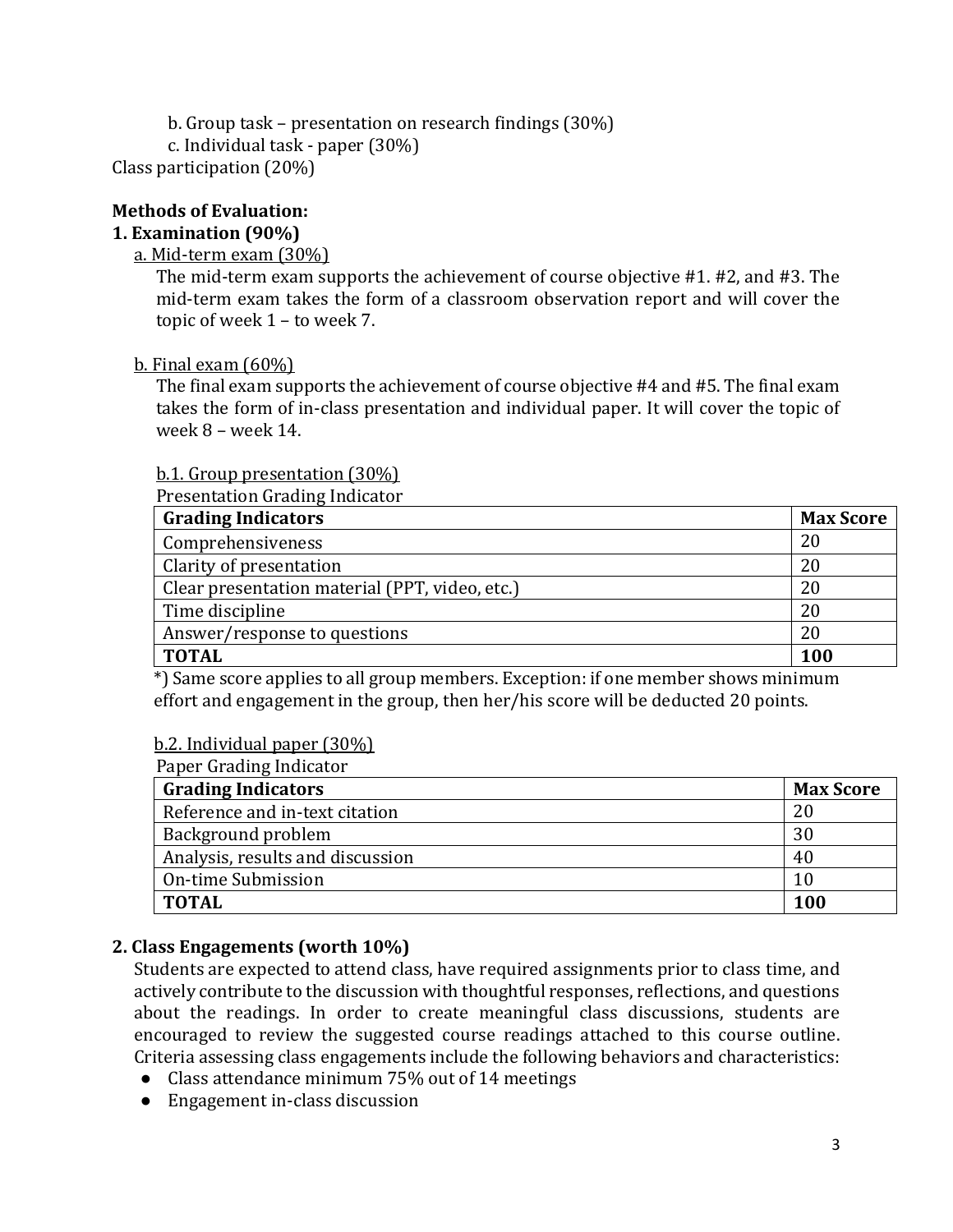b. Group task – presentation on research findings (30%) c. Individual task - paper (30%) Class participation (20%)

# **Methods of Evaluation:**

# **1. Examination (90%)**

### a. Mid-term exam (30%)

The mid-term exam supports the achievement of course objective #1. #2, and #3. The mid-term exam takes the form of a classroom observation report and will cover the topic of week 1 – to week 7.

b. Final exam  $(60\%)$ 

The final exam supports the achievement of course objective #4 and #5. The final exam takes the form of in-class presentation and individual paper. It will cover the topic of week 8 – week 14.

### b.1. Group presentation (30%)

Presentation Grading Indicator

| <b>Grading Indicators</b>                      | <b>Max Score</b> |
|------------------------------------------------|------------------|
| Comprehensiveness                              | 20               |
| Clarity of presentation                        | 20               |
| Clear presentation material (PPT, video, etc.) | 20               |
| Time discipline                                | 20               |
| Answer/response to questions                   | 20               |
| <b>TOTAL</b>                                   | 100              |

\*) Same score applies to all group members. Exception: if one member shows minimum effort and engagement in the group, then her/his score will be deducted 20 points.

### b.2. Individual paper (30%)

Paper Grading Indicator

| Taper drauling multatur<br><b>Grading Indicators</b> |                  |  |  |
|------------------------------------------------------|------------------|--|--|
|                                                      | <b>Max Score</b> |  |  |
| Reference and in-text citation                       | 20               |  |  |
| Background problem                                   | 30               |  |  |
| Analysis, results and discussion                     | 40               |  |  |
| <b>On-time Submission</b>                            |                  |  |  |
| <b>TOTAL</b>                                         | 100              |  |  |

# **2. Class Engagements (worth 10%)**

Students are expected to attend class, have required assignments prior to class time, and actively contribute to the discussion with thoughtful responses, reflections, and questions about the readings. In order to create meaningful class discussions, students are encouraged to review the suggested course readings attached to this course outline. Criteria assessing class engagements include the following behaviors and characteristics:

- Class attendance minimum 75% out of 14 meetings
- Engagement in-class discussion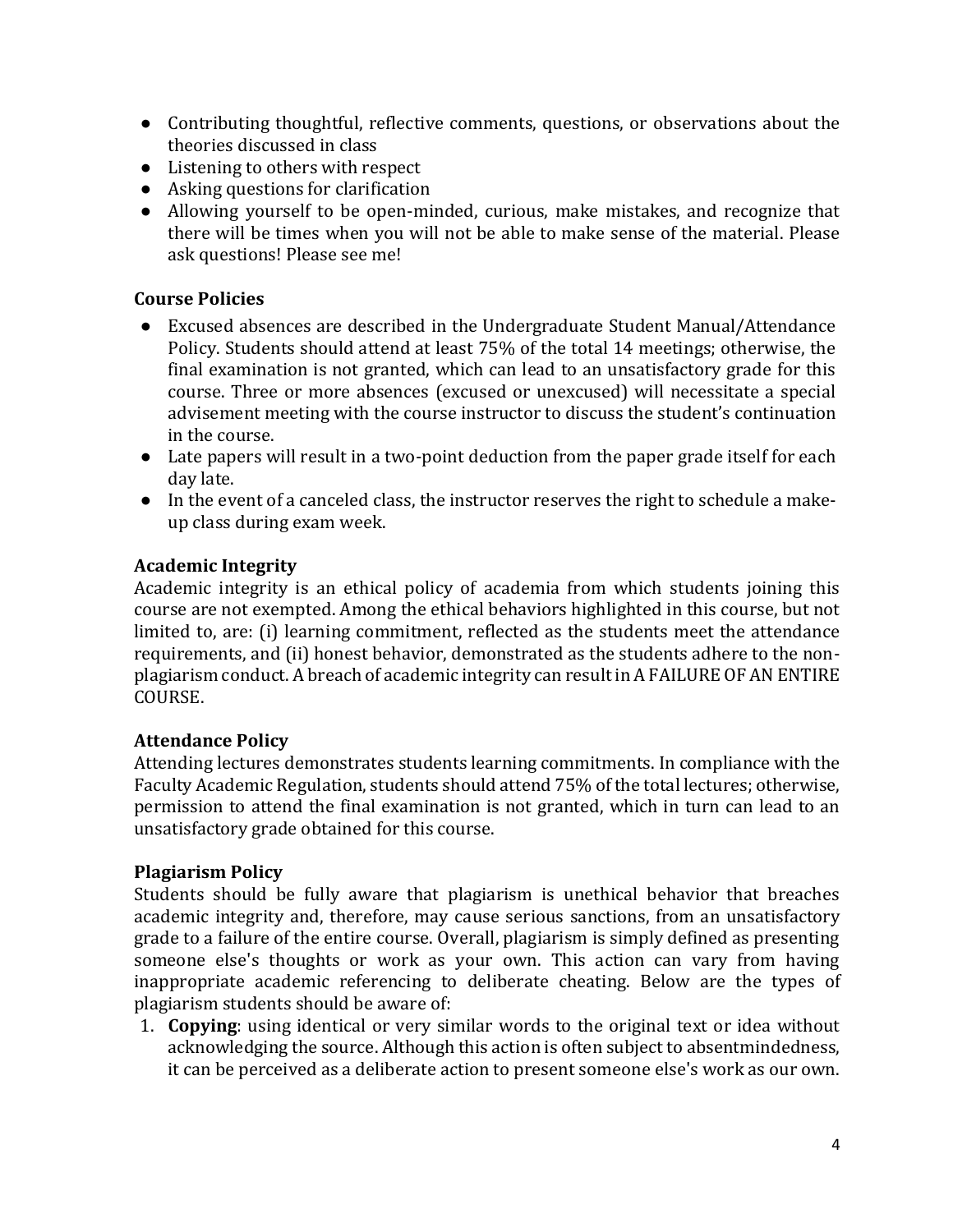- Contributing thoughtful, reflective comments, questions, or observations about the theories discussed in class
- Listening to others with respect
- Asking questions for clarification
- Allowing yourself to be open-minded, curious, make mistakes, and recognize that there will be times when you will not be able to make sense of the material. Please ask questions! Please see me!

# **Course Policies**

- Excused absences are described in the Undergraduate Student Manual/Attendance Policy. Students should attend at least 75% of the total 14 meetings; otherwise, the final examination is not granted, which can lead to an unsatisfactory grade for this course. Three or more absences (excused or unexcused) will necessitate a special advisement meeting with the course instructor to discuss the student's continuation in the course.
- Late papers will result in a two-point deduction from the paper grade itself for each day late.
- In the event of a canceled class, the instructor reserves the right to schedule a makeup class during exam week.

# **Academic Integrity**

Academic integrity is an ethical policy of academia from which students joining this course are not exempted. Among the ethical behaviors highlighted in this course, but not limited to, are: (i) learning commitment, reflected as the students meet the attendance requirements, and (ii) honest behavior, demonstrated as the students adhere to the nonplagiarism conduct. A breach of academic integrity can result in A FAILURE OF AN ENTIRE COURSE.

# **Attendance Policy**

Attending lectures demonstrates students learning commitments. In compliance with the Faculty Academic Regulation, students should attend 75% of the total lectures; otherwise, permission to attend the final examination is not granted, which in turn can lead to an unsatisfactory grade obtained for this course.

# **Plagiarism Policy**

Students should be fully aware that plagiarism is unethical behavior that breaches academic integrity and, therefore, may cause serious sanctions, from an unsatisfactory grade to a failure of the entire course. Overall, plagiarism is simply defined as presenting someone else's thoughts or work as your own. This action can vary from having inappropriate academic referencing to deliberate cheating. Below are the types of plagiarism students should be aware of:

1. **Copying**: using identical or very similar words to the original text or idea without acknowledging the source. Although this action is often subject to absentmindedness, it can be perceived as a deliberate action to present someone else's work as our own.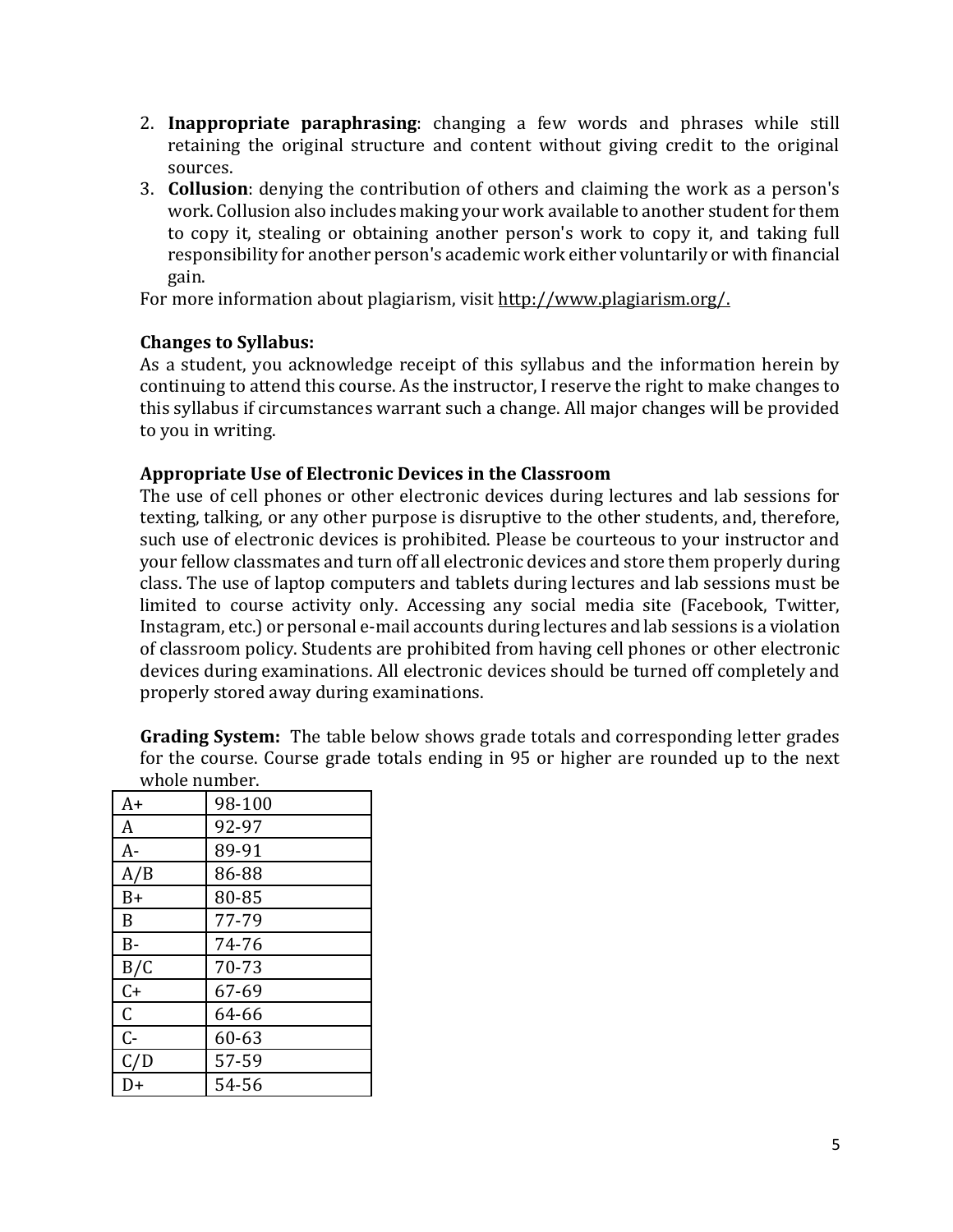- 2. **Inappropriate paraphrasing**: changing a few words and phrases while still retaining the original structure and content without giving credit to the original sources.
- 3. **Collusion**: denying the contribution of others and claiming the work as a person's work. Collusion also includes making your work available to another student for them to copy it, stealing or obtaining another person's work to copy it, and taking full responsibility for another person's academic work either voluntarily or with financial gain.

For more information about plagiarism, visit [http://www.plagiarism.org/.](http://www.plagiarism.org/)

### **Changes to Syllabus:**

As a student, you acknowledge receipt of this syllabus and the information herein by continuing to attend this course. As the instructor, I reserve the right to make changes to this syllabus if circumstances warrant such a change. All major changes will be provided to you in writing.

### **Appropriate Use of Electronic Devices in the Classroom**

The use of cell phones or other electronic devices during lectures and lab sessions for texting, talking, or any other purpose is disruptive to the other students, and, therefore, such use of electronic devices is prohibited. Please be courteous to your instructor and your fellow classmates and turn off all electronic devices and store them properly during class. The use of laptop computers and tablets during lectures and lab sessions must be limited to course activity only. Accessing any social media site (Facebook, Twitter, Instagram, etc.) or personal e-mail accounts during lectures and lab sessions is a violation of classroom policy. Students are prohibited from having cell phones or other electronic devices during examinations. All electronic devices should be turned off completely and properly stored away during examinations.

**Grading System:** The table below shows grade totals and corresponding letter grades for the course. Course grade totals ending in 95 or higher are rounded up to the next whole number.

| A+          | 98-100    |
|-------------|-----------|
| A           | 92-97     |
| A-          | 89-91     |
| A/B         | 86-88     |
| $B+$        | 80-85     |
| B           | 77-79     |
| $B -$       | 74-76     |
| B/C         | 70-73     |
| $C+$        | 67-69     |
| $\mathsf C$ | 64-66     |
| $C -$       | $60 - 63$ |
| C/D         | 57-59     |
| D+          | 54-56     |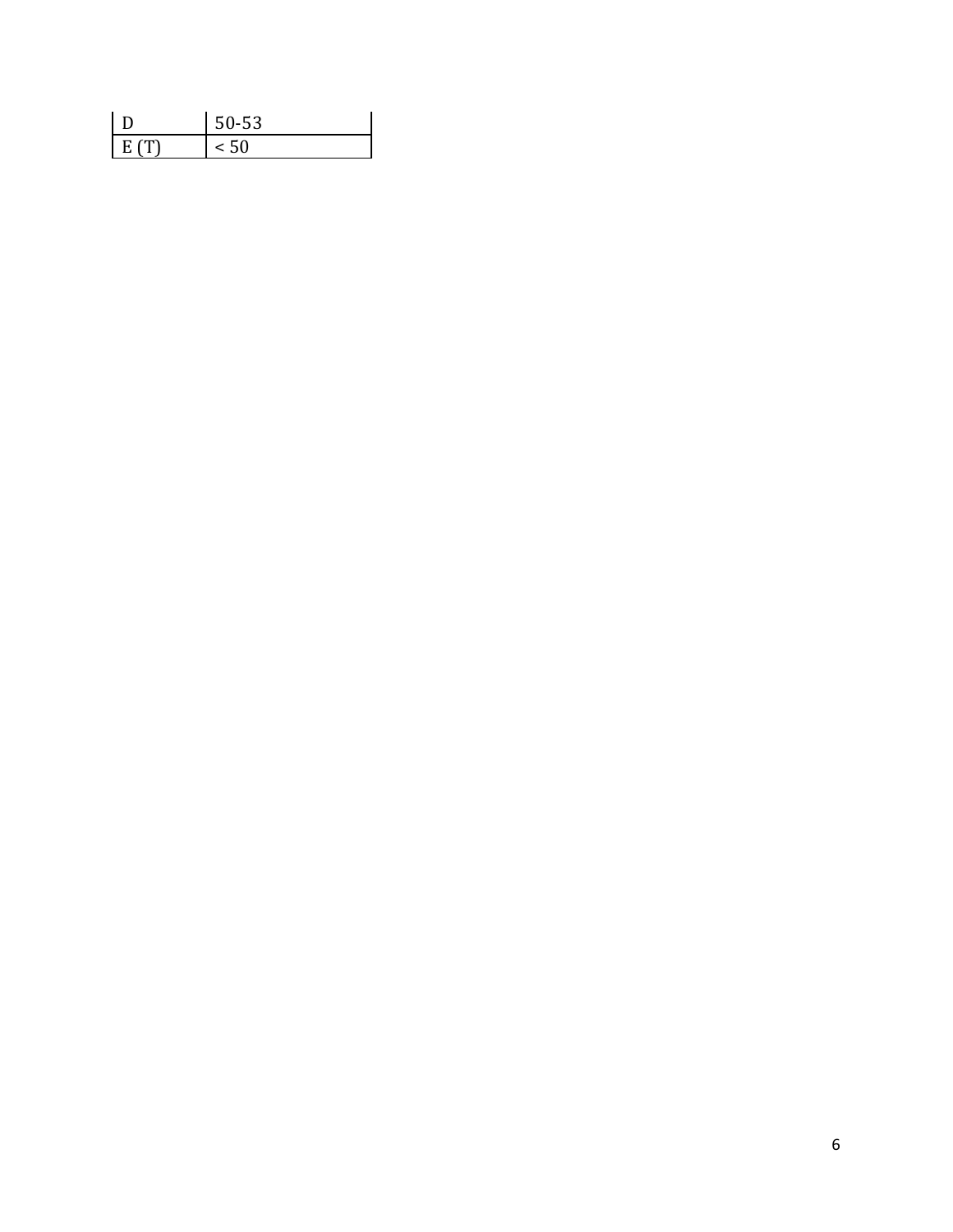|      | 50-53 |
|------|-------|
| E(T) |       |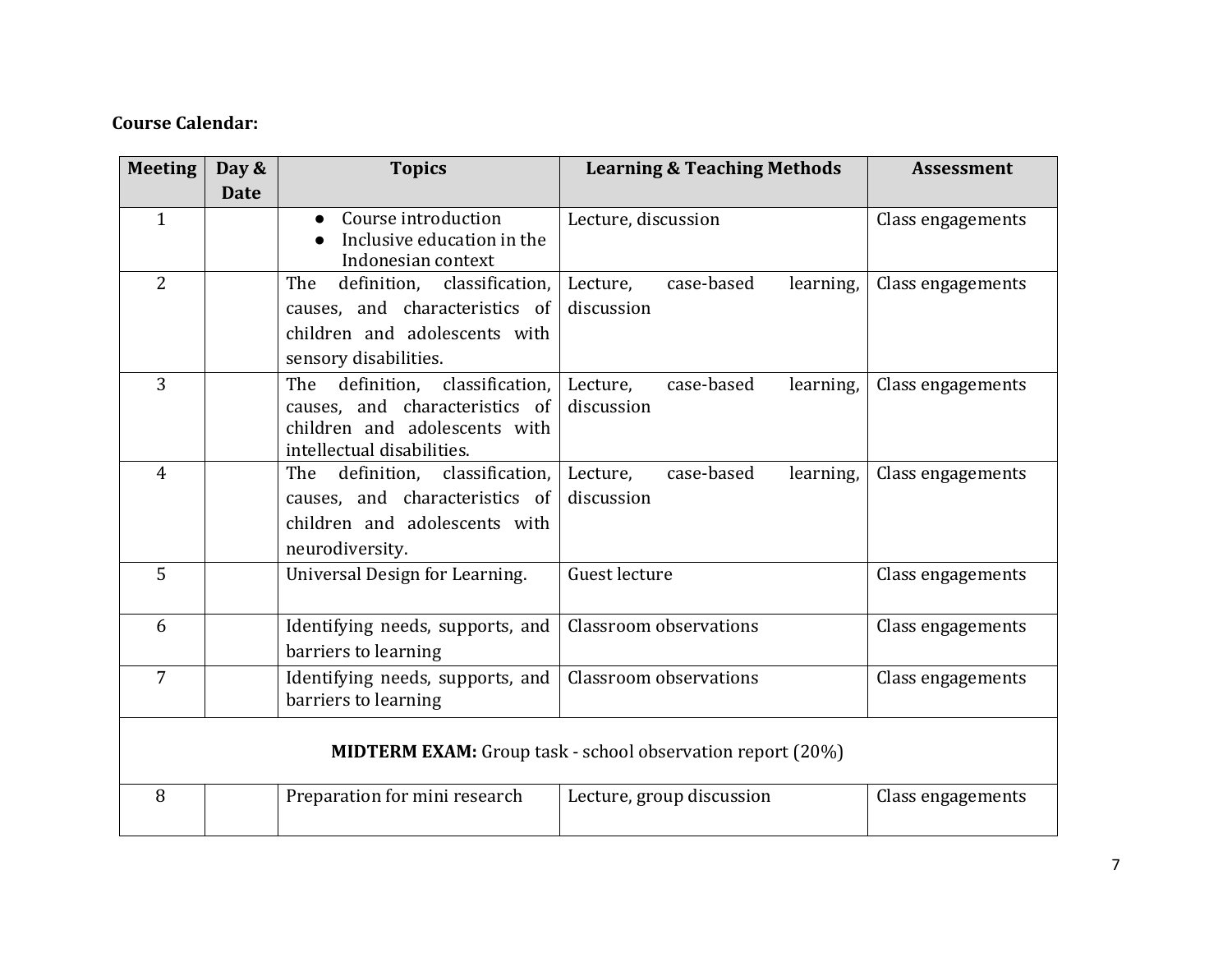# **Course Calendar:**

| <b>Meeting</b> | Day &       | <b>Topics</b>                                                                                                                          | <b>Learning &amp; Teaching Methods</b>                            | <b>Assessment</b> |
|----------------|-------------|----------------------------------------------------------------------------------------------------------------------------------------|-------------------------------------------------------------------|-------------------|
|                | <b>Date</b> |                                                                                                                                        |                                                                   |                   |
| $\mathbf{1}$   |             | Course introduction<br>Inclusive education in the<br>Indonesian context                                                                | Lecture, discussion                                               | Class engagements |
| $\overline{2}$ |             | The<br>definition,<br>classification.<br>causes, and characteristics of<br>children and adolescents with<br>sensory disabilities.      | Lecture,<br>case-based<br>learning,<br>discussion                 | Class engagements |
| $\overline{3}$ |             | definition,<br>classification.<br>The<br>causes, and characteristics of<br>children and adolescents with<br>intellectual disabilities. | case-based<br>Lecture,<br>learning,<br>discussion                 | Class engagements |
| $\overline{4}$ |             | classification.<br>The<br>definition,<br>causes, and characteristics of<br>children and adolescents with<br>neurodiversity.            | case-based<br>Lecture,<br>learning,<br>discussion                 | Class engagements |
| 5              |             | Universal Design for Learning.                                                                                                         | Guest lecture                                                     | Class engagements |
| 6              |             | Identifying needs, supports, and<br>barriers to learning                                                                               | Classroom observations                                            | Class engagements |
| $\overline{7}$ |             | Identifying needs, supports, and<br>barriers to learning                                                                               | Classroom observations                                            | Class engagements |
|                |             |                                                                                                                                        | <b>MIDTERM EXAM:</b> Group task - school observation report (20%) |                   |
| 8              |             | Preparation for mini research                                                                                                          | Lecture, group discussion                                         | Class engagements |